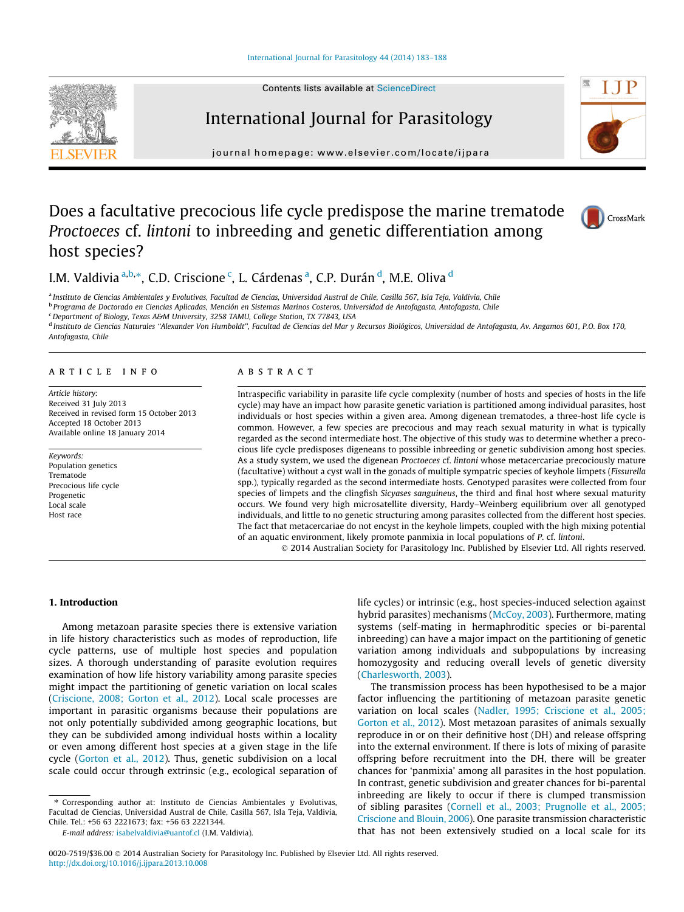

Contents lists available at [ScienceDirect](http://www.sciencedirect.com/science/journal/00207519)

# International Journal for Parasitology

journal homepage: [www.elsevier.com/locate/ijpara](http://www.elsevier.com/locate/ijpara)

## Does a facultative precocious life cycle predispose the marine trematode Proctoeces cf. lintoni to inbreeding and genetic differentiation among host species?



CrossMark

## I.M. Valdivia <sup>a,b,</sup>\*, C.D. Criscione <sup>c</sup>, L. Cárdenas <sup>a</sup>, C.P. Durán <sup>d</sup>, M.E. Oliva <sup>d</sup>

<sup>a</sup> Instituto de Ciencias Ambientales y Evolutivas, Facultad de Ciencias, Universidad Austral de Chile, Casilla 567, Isla Teja, Valdivia, Chile

<sup>b</sup> Programa de Doctorado en Ciencias Aplicadas, Mención en Sistemas Marinos Costeros, Universidad de Antofagasta, Antofagasta, Chile

 $c$  Department of Biology, Texas A&M University, 3258 TAMU, College Station, TX 77843, USA

<sup>d</sup> Instituto de Ciencias Naturales ''Alexander Von Humboldt'', Facultad de Ciencias del Mar y Recursos Biológicos, Universidad de Antofagasta, Av. Angamos 601, P.O. Box 170, Antofagasta, Chile

#### article info

Article history: Received 31 July 2013 Received in revised form 15 October 2013 Accepted 18 October 2013 Available online 18 January 2014

Keywords: Population genetics Trematode Precocious life cycle Progenetic Local scale Host race

#### **ABSTRACT**

Intraspecific variability in parasite life cycle complexity (number of hosts and species of hosts in the life cycle) may have an impact how parasite genetic variation is partitioned among individual parasites, host individuals or host species within a given area. Among digenean trematodes, a three-host life cycle is common. However, a few species are precocious and may reach sexual maturity in what is typically regarded as the second intermediate host. The objective of this study was to determine whether a precocious life cycle predisposes digeneans to possible inbreeding or genetic subdivision among host species. As a study system, we used the digenean Proctoeces cf. lintoni whose metacercariae precociously mature (facultative) without a cyst wall in the gonads of multiple sympatric species of keyhole limpets (Fissurella spp.), typically regarded as the second intermediate hosts. Genotyped parasites were collected from four species of limpets and the clingfish Sicyases sanguineus, the third and final host where sexual maturity occurs. We found very high microsatellite diversity, Hardy–Weinberg equilibrium over all genotyped individuals, and little to no genetic structuring among parasites collected from the different host species. The fact that metacercariae do not encyst in the keyhole limpets, coupled with the high mixing potential of an aquatic environment, likely promote panmixia in local populations of P. cf. lintoni.

© 2014 Australian Society for Parasitology Inc. Published by Elsevier Ltd. All rights reserved.

### 1. Introduction

Among metazoan parasite species there is extensive variation in life history characteristics such as modes of reproduction, life cycle patterns, use of multiple host species and population sizes. A thorough understanding of parasite evolution requires examination of how life history variability among parasite species might impact the partitioning of genetic variation on local scales ([Criscione, 2008; Gorton et al., 2012\)](#page-5-0). Local scale processes are important in parasitic organisms because their populations are not only potentially subdivided among geographic locations, but they can be subdivided among individual hosts within a locality or even among different host species at a given stage in the life cycle ([Gorton et al., 2012](#page-5-0)). Thus, genetic subdivision on a local scale could occur through extrinsic (e.g., ecological separation of

⇑ Corresponding author at: Instituto de Ciencias Ambientales y Evolutivas, Facultad de Ciencias, Universidad Austral de Chile, Casilla 567, Isla Teja, Valdivia, Chile. Tel.: +56 63 2221673; fax: +56 63 2221344.

life cycles) or intrinsic (e.g., host species-induced selection against hybrid parasites) mechanisms [\(McCoy, 2003](#page-5-0)). Furthermore, mating systems (self-mating in hermaphroditic species or bi-parental inbreeding) can have a major impact on the partitioning of genetic variation among individuals and subpopulations by increasing homozygosity and reducing overall levels of genetic diversity ([Charlesworth, 2003\)](#page-5-0).

The transmission process has been hypothesised to be a major factor influencing the partitioning of metazoan parasite genetic variation on local scales [\(Nadler, 1995; Criscione et al., 2005;](#page-5-0) [Gorton et al., 2012](#page-5-0)). Most metazoan parasites of animals sexually reproduce in or on their definitive host (DH) and release offspring into the external environment. If there is lots of mixing of parasite offspring before recruitment into the DH, there will be greater chances for 'panmixia' among all parasites in the host population. In contrast, genetic subdivision and greater chances for bi-parental inbreeding are likely to occur if there is clumped transmission of sibling parasites ([Cornell et al., 2003; Prugnolle et al., 2005;](#page-5-0) [Criscione and Blouin, 2006\)](#page-5-0). One parasite transmission characteristic that has not been extensively studied on a local scale for its

E-mail address: [isabelvaldivia@uantof.cl](mailto:isabelvaldivia@uantof.cl) (I.M. Valdivia).

<sup>0020-7519/\$36.00 © 2014</sup> Australian Society for Parasitology Inc. Published by Elsevier Ltd. All rights reserved. <http://dx.doi.org/10.1016/j.ijpara.2013.10.008>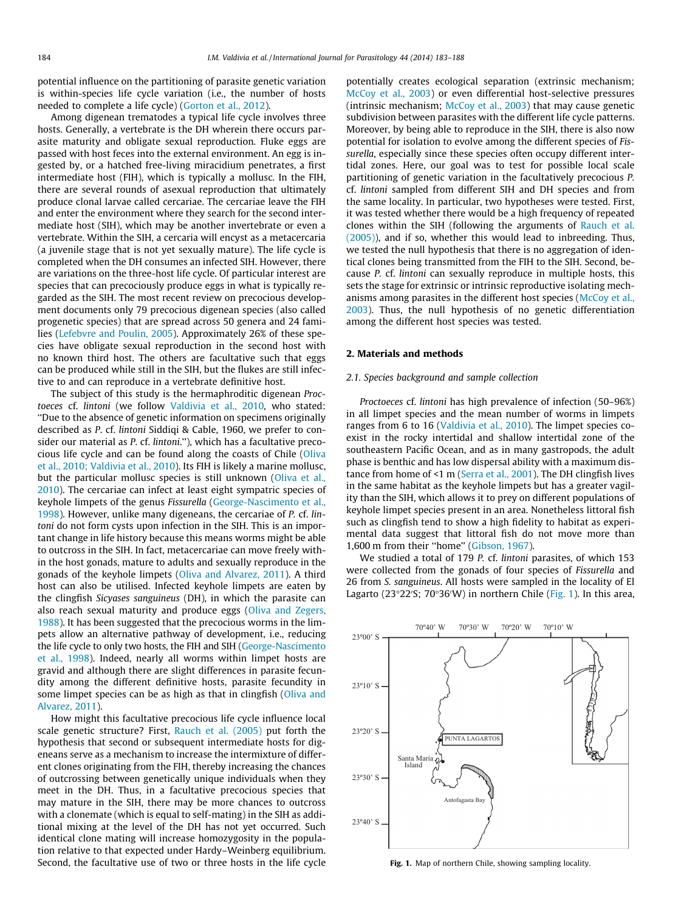potential influence on the partitioning of parasite genetic variation is within-species life cycle variation (i.e., the number of hosts needed to complete a life cycle) ([Gorton et al., 2012](#page-5-0)).

Among digenean trematodes a typical life cycle involves three hosts. Generally, a vertebrate is the DH wherein there occurs parasite maturity and obligate sexual reproduction. Fluke eggs are passed with host feces into the external environment. An egg is ingested by, or a hatched free-living miracidium penetrates, a first intermediate host (FIH), which is typically a mollusc. In the FIH, there are several rounds of asexual reproduction that ultimately produce clonal larvae called cercariae. The cercariae leave the FIH and enter the environment where they search for the second intermediate host (SIH), which may be another invertebrate or even a vertebrate. Within the SIH, a cercaria will encyst as a metacercaria (a juvenile stage that is not yet sexually mature). The life cycle is completed when the DH consumes an infected SIH. However, there are variations on the three-host life cycle. Of particular interest are species that can precociously produce eggs in what is typically regarded as the SIH. The most recent review on precocious development documents only 79 precocious digenean species (also called progenetic species) that are spread across 50 genera and 24 families [\(Lefebvre and Poulin, 2005\)](#page-5-0). Approximately 26% of these species have obligate sexual reproduction in the second host with no known third host. The others are facultative such that eggs can be produced while still in the SIH, but the flukes are still infective to and can reproduce in a vertebrate definitive host.

The subject of this study is the hermaphroditic digenean Proctoeces cf. lintoni (we follow [Valdivia et al., 2010,](#page-5-0) who stated: ''Due to the absence of genetic information on specimens originally described as P. cf. lintoni Siddiqi & Cable, 1960, we prefer to consider our material as P. cf. lintoni.''), which has a facultative precocious life cycle and can be found along the coasts of Chile [\(Oliva](#page-5-0) [et al., 2010; Valdivia et al., 2010\)](#page-5-0). Its FIH is likely a marine mollusc, but the particular mollusc species is still unknown [\(Oliva et al.,](#page-5-0) [2010\)](#page-5-0). The cercariae can infect at least eight sympatric species of keyhole limpets of the genus Fissurella ([George-Nascimento et al.,](#page-5-0) [1998\)](#page-5-0). However, unlike many digeneans, the cercariae of P. cf. lintoni do not form cysts upon infection in the SIH. This is an important change in life history because this means worms might be able to outcross in the SIH. In fact, metacercariae can move freely within the host gonads, mature to adults and sexually reproduce in the gonads of the keyhole limpets [\(Oliva and Alvarez, 2011](#page-5-0)). A third host can also be utilised. Infected keyhole limpets are eaten by the clingfish Sicyases sanguineus (DH), in which the parasite can also reach sexual maturity and produce eggs [\(Oliva and Zegers,](#page-5-0) [1988\)](#page-5-0). It has been suggested that the precocious worms in the limpets allow an alternative pathway of development, i.e., reducing the life cycle to only two hosts, the FIH and SIH ([George-Nascimento](#page-5-0) [et al., 1998\)](#page-5-0). Indeed, nearly all worms within limpet hosts are gravid and although there are slight differences in parasite fecundity among the different definitive hosts, parasite fecundity in some limpet species can be as high as that in clingfish [\(Oliva and](#page-5-0) [Alvarez, 2011](#page-5-0)).

How might this facultative precocious life cycle influence local scale genetic structure? First, [Rauch et al. \(2005\)](#page-5-0) put forth the hypothesis that second or subsequent intermediate hosts for digeneans serve as a mechanism to increase the intermixture of different clones originating from the FIH, thereby increasing the chances of outcrossing between genetically unique individuals when they meet in the DH. Thus, in a facultative precocious species that may mature in the SIH, there may be more chances to outcross with a clonemate (which is equal to self-mating) in the SIH as additional mixing at the level of the DH has not yet occurred. Such identical clone mating will increase homozygosity in the population relative to that expected under Hardy–Weinberg equilibrium. Second, the facultative use of two or three hosts in the life cycle

potentially creates ecological separation (extrinsic mechanism; [McCoy et al., 2003](#page-5-0)) or even differential host-selective pressures (intrinsic mechanism; [McCoy et al., 2003\)](#page-5-0) that may cause genetic subdivision between parasites with the different life cycle patterns. Moreover, by being able to reproduce in the SIH, there is also now potential for isolation to evolve among the different species of Fissurella, especially since these species often occupy different intertidal zones. Here, our goal was to test for possible local scale partitioning of genetic variation in the facultatively precocious P. cf. lintoni sampled from different SIH and DH species and from the same locality. In particular, two hypotheses were tested. First, it was tested whether there would be a high frequency of repeated clones within the SIH (following the arguments of [Rauch et al.](#page-5-0) [\(2005\)\)](#page-5-0), and if so, whether this would lead to inbreeding. Thus, we tested the null hypothesis that there is no aggregation of identical clones being transmitted from the FIH to the SIH. Second, because P. cf. lintoni can sexually reproduce in multiple hosts, this sets the stage for extrinsic or intrinsic reproductive isolating mechanisms among parasites in the different host species ([McCoy et al.,](#page-5-0) [2003\)](#page-5-0). Thus, the null hypothesis of no genetic differentiation among the different host species was tested.

## 2. Materials and methods

## 2.1. Species background and sample collection

Proctoeces cf. lintoni has high prevalence of infection (50–96%) in all limpet species and the mean number of worms in limpets ranges from 6 to 16 ([Valdivia et al., 2010](#page-5-0)). The limpet species coexist in the rocky intertidal and shallow intertidal zone of the southeastern Pacific Ocean, and as in many gastropods, the adult phase is benthic and has low dispersal ability with a maximum distance from home of <1 m ([Serra et al., 2001](#page-5-0)). The DH clingfish lives in the same habitat as the keyhole limpets but has a greater vagility than the SIH, which allows it to prey on different populations of keyhole limpet species present in an area. Nonetheless littoral fish such as clingfish tend to show a high fidelity to habitat as experimental data suggest that littoral fish do not move more than 1,600 m from their ''home'' ([Gibson, 1967\)](#page-5-0).

We studied a total of 179 P. cf. lintoni parasites, of which 153 were collected from the gonads of four species of Fissurella and 26 from S. sanguineus. All hosts were sampled in the locality of El Lagarto (23°22'S; 70°36'W) in northern Chile (Fig. 1). In this area,



Fig. 1. Map of northern Chile, showing sampling locality.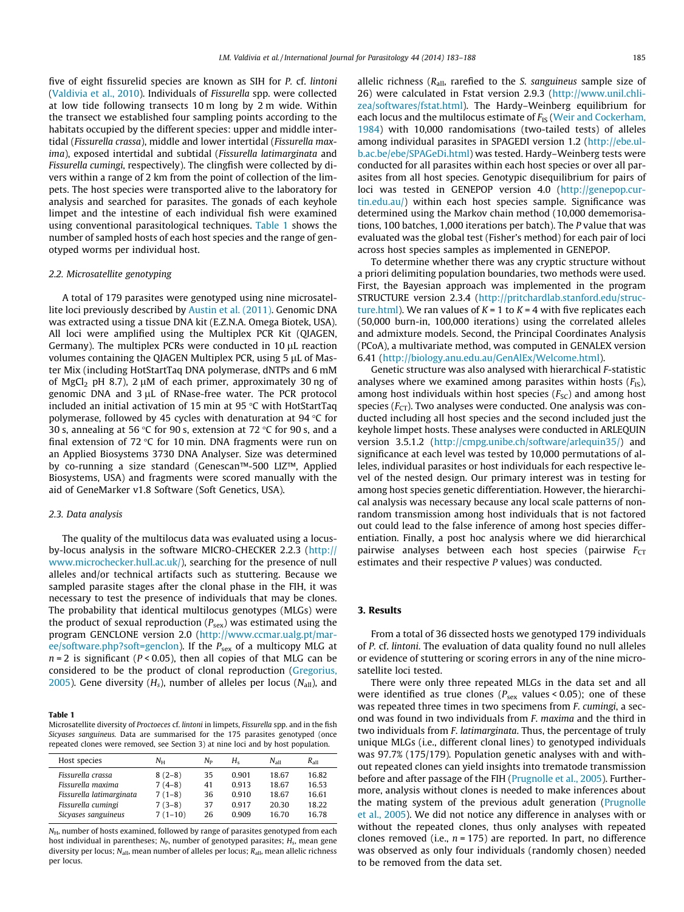<span id="page-2-0"></span>five of eight fissurelid species are known as SIH for P. cf. lintoni ([Valdivia et al., 2010](#page-5-0)). Individuals of Fissurella spp. were collected at low tide following transects 10 m long by 2 m wide. Within the transect we established four sampling points according to the habitats occupied by the different species: upper and middle intertidal (Fissurella crassa), middle and lower intertidal (Fissurella maxima), exposed intertidal and subtidal (Fissurella latimarginata and Fissurella cumingi, respectively). The clingfish were collected by divers within a range of 2 km from the point of collection of the limpets. The host species were transported alive to the laboratory for analysis and searched for parasites. The gonads of each keyhole limpet and the intestine of each individual fish were examined using conventional parasitological techniques. Table 1 shows the number of sampled hosts of each host species and the range of genotyped worms per individual host.

#### 2.2. Microsatellite genotyping

A total of 179 parasites were genotyped using nine microsatellite loci previously described by [Austin et al. \(2011\)](#page-5-0). Genomic DNA was extracted using a tissue DNA kit (E.Z.N.A. Omega Biotek, USA). All loci were amplified using the Multiplex PCR Kit (QIAGEN, Germany). The multiplex PCRs were conducted in  $10 \mu$ L reaction volumes containing the QIAGEN Multiplex PCR, using  $5 \mu L$  of Master Mix (including HotStartTaq DNA polymerase, dNTPs and 6 mM of MgCl<sub>2</sub> pH 8.7), 2  $\mu$ M of each primer, approximately 30 ng of genomic DNA and 3 µL of RNase-free water. The PCR protocol included an initial activation of 15 min at 95  $\degree$ C with HotStartTaq polymerase, followed by 45 cycles with denaturation at 94  $\degree$ C for 30 s, annealing at 56 °C for 90 s, extension at 72 °C for 90 s, and a final extension of 72  $\degree$ C for 10 min. DNA fragments were run on an Applied Biosystems 3730 DNA Analyser. Size was determined by co-running a size standard (Genescan™-500 LIZ™, Applied Biosystems, USA) and fragments were scored manually with the aid of GeneMarker v1.8 Software (Soft Genetics, USA).

#### 2.3. Data analysis

The quality of the multilocus data was evaluated using a locusby-locus analysis in the software MICRO-CHECKER 2.2.3 ([http://](http://www.microchecker.hull.ac.uk/) [www.microchecker.hull.ac.uk/\)](http://www.microchecker.hull.ac.uk/), searching for the presence of null alleles and/or technical artifacts such as stuttering. Because we sampled parasite stages after the clonal phase in the FIH, it was necessary to test the presence of individuals that may be clones. The probability that identical multilocus genotypes (MLGs) were the product of sexual reproduction  $(P_{sex})$  was estimated using the program GENCLONE version 2.0 ([http://www.ccmar.ualg.pt/mar](http://www.ccmar.ualg.pt/maree/software.php?soft=genclon)[ee/software.php?soft=genclon\)](http://www.ccmar.ualg.pt/maree/software.php?soft=genclon). If the  $P_{\text{sex}}$  of a multicopy MLG at  $n = 2$  is significant ( $P < 0.05$ ), then all copies of that MLG can be considered to be the product of clonal reproduction ([Gregorius,](#page-5-0) [2005](#page-5-0)). Gene diversity ( $H_s$ ), number of alleles per locus ( $N_{\text{all}}$ ), and

#### Table 1

Microsatellite diversity of Proctoeces cf. lintoni in limpets, Fissurella spp. and in the fish Sicyases sanguineus. Data are summarised for the 175 parasites genotyped (once repeated clones were removed, see Section 3) at nine loci and by host population.

| Host species             | $N_{\rm H}$ | Nь | H.    | $N_{\rm all}$ | $R_{\rm all}$ |
|--------------------------|-------------|----|-------|---------------|---------------|
| Fissurella crassa        | $8(2-8)$    | 35 | 0.901 | 18.67         | 16.82         |
| Fissurella maxima        | $7(4-8)$    | 41 | 0.913 | 18.67         | 16.53         |
| Fissurella latimarginata | $7(1-8)$    | 36 | 0.910 | 18.67         | 16.61         |
| Fissurella cumingi       | $7(3-8)$    | 37 | 0.917 | 20.30         | 18.22         |
| Sicyases sanguineus      | $7(1-10)$   | 26 | 0.909 | 16.70         | 16.78         |
|                          |             |    |       |               |               |

 $N_{\rm H}$ , number of hosts examined, followed by range of parasites genotyped from each host individual in parentheses;  $N_{P}$ , number of genotyped parasites;  $H_s$ , mean gene diversity per locus;  $N_{\text{all}}$ , mean number of alleles per locus;  $R_{\text{all}}$ , mean allelic richness per locus.

allelic richness  $(R_{all}$ , rarefied to the S. sanguineus sample size of 26) were calculated in Fstat version 2.9.3 [\(http://www.unil.chli](http://www.unil.chlizea/softwares/fstat.html)[zea/softwares/fstat.html](http://www.unil.chlizea/softwares/fstat.html)). The Hardy–Weinberg equilibrium for each locus and the multilocus estimate of  $F_{IS}$  [\(Weir and Cockerham,](#page-5-0) [1984\)](#page-5-0) with 10,000 randomisations (two-tailed tests) of alleles among individual parasites in SPAGEDI version 1.2 [\(http://ebe.ul](http://ebe.ulb.ac.be/ebe/SPAGeDi.html)[b.ac.be/ebe/SPAGeDi.html\)](http://ebe.ulb.ac.be/ebe/SPAGeDi.html) was tested. Hardy–Weinberg tests were conducted for all parasites within each host species or over all parasites from all host species. Genotypic disequilibrium for pairs of loci was tested in GENEPOP version 4.0 [\(http://genepop.cur](http://genepop.curtin.edu.au/)[tin.edu.au/](http://genepop.curtin.edu.au/)) within each host species sample. Significance was determined using the Markov chain method (10,000 dememorisations, 100 batches, 1,000 iterations per batch). The P value that was evaluated was the global test (Fisher's method) for each pair of loci across host species samples as implemented in GENEPOP.

To determine whether there was any cryptic structure without a priori delimiting population boundaries, two methods were used. First, the Bayesian approach was implemented in the program STRUCTURE version 2.3.4 [\(http://pritchardlab.stanford.edu/struc](http://pritchardlab.stanford.edu/structure.html)[ture.html](http://pritchardlab.stanford.edu/structure.html)). We ran values of  $K = 1$  to  $K = 4$  with five replicates each (50,000 burn-in, 100,000 iterations) using the correlated alleles and admixture models. Second, the Principal Coordinates Analysis (PCoA), a multivariate method, was computed in GENALEX version 6.41 [\(http://biology.anu.edu.au/GenAlEx/Welcome.html](http://biology.anu.edu.au/GenAlEx/Welcome.html)).

Genetic structure was also analysed with hierarchical F-statistic analyses where we examined among parasites within hosts  $(F_{IS})$ , among host individuals within host species  $(F_{SC})$  and among host species ( $F_{CT}$ ). Two analyses were conducted. One analysis was conducted including all host species and the second included just the keyhole limpet hosts. These analyses were conducted in ARLEQUIN version 3.5.1.2 [\(http://cmpg.unibe.ch/software/arlequin35/](http://cmpg.unibe.ch/software/arlequin35/)) and significance at each level was tested by 10,000 permutations of alleles, individual parasites or host individuals for each respective level of the nested design. Our primary interest was in testing for among host species genetic differentiation. However, the hierarchical analysis was necessary because any local scale patterns of nonrandom transmission among host individuals that is not factored out could lead to the false inference of among host species differentiation. Finally, a post hoc analysis where we did hierarchical pairwise analyses between each host species (pairwise  $F_{CT}$ estimates and their respective P values) was conducted.

#### 3. Results

From a total of 36 dissected hosts we genotyped 179 individuals of P. cf. lintoni. The evaluation of data quality found no null alleles or evidence of stuttering or scoring errors in any of the nine microsatellite loci tested.

There were only three repeated MLGs in the data set and all were identified as true clones ( $P_{\text{sex}}$  values < 0.05); one of these was repeated three times in two specimens from F. cumingi, a second was found in two individuals from F. maxima and the third in two individuals from F. latimarginata. Thus, the percentage of truly unique MLGs (i.e., different clonal lines) to genotyped individuals was 97.7% (175/179). Population genetic analyses with and without repeated clones can yield insights into trematode transmission before and after passage of the FIH ([Prugnolle et al., 2005](#page-5-0)). Furthermore, analysis without clones is needed to make inferences about the mating system of the previous adult generation ([Prugnolle](#page-5-0) [et al., 2005\)](#page-5-0). We did not notice any difference in analyses with or without the repeated clones, thus only analyses with repeated clones removed (i.e.,  $n = 175$ ) are reported. In part, no difference was observed as only four individuals (randomly chosen) needed to be removed from the data set.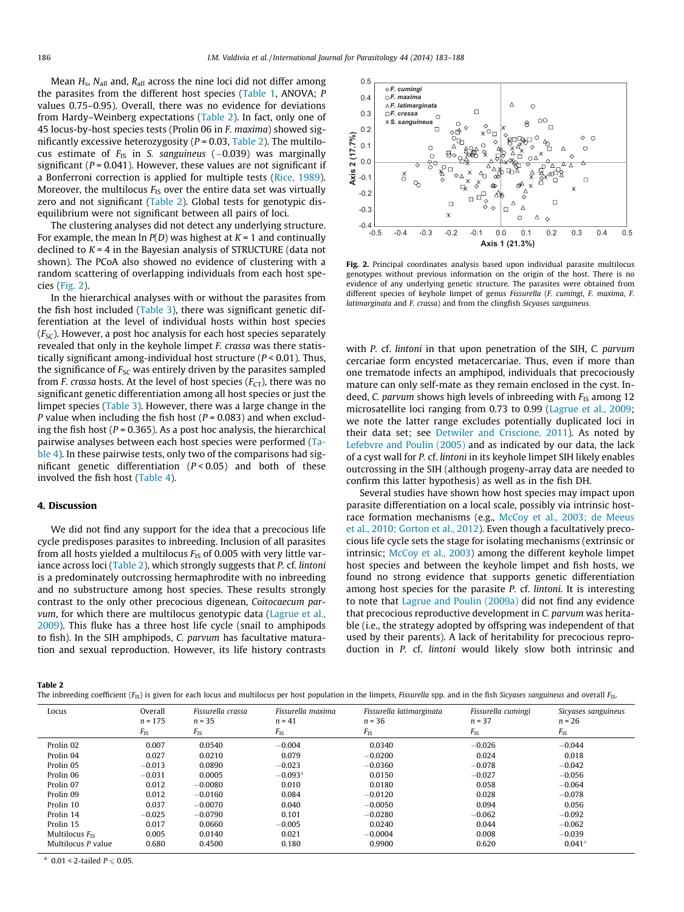Mean  $H_s$ ,  $N_{all}$  and,  $R_{all}$  across the nine loci did not differ among the parasites from the different host species [\(Table 1,](#page-2-0) ANOVA; P values 0.75–0.95). Overall, there was no evidence for deviations from Hardy–Weinberg expectations (Table 2). In fact, only one of 45 locus-by-host species tests (Prolin 06 in F. maxima) showed significantly excessive heterozygosity ( $P = 0.03$ , Table 2). The multilocus estimate of  $F_{\text{IS}}$  in S. sanguineus (–0.039) was marginally significant ( $P = 0.041$ ). However, these values are not significant if a Bonferroni correction is applied for multiple tests ([Rice, 1989\)](#page-5-0). Moreover, the multilocus  $F_{IS}$  over the entire data set was virtually zero and not significant (Table 2). Global tests for genotypic disequilibrium were not significant between all pairs of loci.

The clustering analyses did not detect any underlying structure. For example, the mean  $\ln P(D)$  was highest at  $K = 1$  and continually declined to  $K = 4$  in the Bayesian analysis of STRUCTURE (data not shown). The PCoA also showed no evidence of clustering with a random scattering of overlapping individuals from each host species (Fig. 2).

In the hierarchical analyses with or without the parasites from the fish host included [\(Table 3](#page-4-0)), there was significant genetic differentiation at the level of individual hosts within host species  $(F<sub>SC</sub>)$ . However, a post hoc analysis for each host species separately revealed that only in the keyhole limpet F. crassa was there statistically significant among-individual host structure ( $P < 0.01$ ). Thus, the significance of  $F_{SC}$  was entirely driven by the parasites sampled from *F. crassa* hosts. At the level of host species ( $F<sub>CT</sub>$ ), there was no significant genetic differentiation among all host species or just the limpet species [\(Table 3\)](#page-4-0). However, there was a large change in the P value when including the fish host ( $P = 0.083$ ) and when excluding the fish host ( $P = 0.365$ ). As a post hoc analysis, the hierarchical pairwise analyses between each host species were performed ([Ta](#page-4-0)[ble 4\)](#page-4-0). In these pairwise tests, only two of the comparisons had significant genetic differentiation  $(P < 0.05)$  and both of these involved the fish host ([Table 4\)](#page-4-0).

### 4. Discussion

We did not find any support for the idea that a precocious life cycle predisposes parasites to inbreeding. Inclusion of all parasites from all hosts yielded a multilocus  $F_{1S}$  of 0.005 with very little variance across loci (Table 2), which strongly suggests that P. cf. lintoni is a predominately outcrossing hermaphrodite with no inbreeding and no substructure among host species. These results strongly contrast to the only other precocious digenean, Coitocaecum parvum, for which there are multilocus genotypic data [\(Lagrue et al.,](#page-5-0) [2009\)](#page-5-0). This fluke has a three host life cycle (snail to amphipods to fish). In the SIH amphipods, C. parvum has facultative maturation and sexual reproduction. However, its life history contrasts



Fig. 2. Principal coordinates analysis based upon individual parasite multilocus genotypes without previous information on the origin of the host. There is no evidence of any underlying genetic structure. The parasites were obtained from different species of keyhole limpet of genus Fissurella (F. cumingi, F. maxima, F. latimarginata and F. crassa) and from the clingfish Sicyases sanguineus.

with P. cf. lintoni in that upon penetration of the SIH, C. parvum cercariae form encysted metacercariae. Thus, even if more than one trematode infects an amphipod, individuals that precociously mature can only self-mate as they remain enclosed in the cyst. Indeed, C. parvum shows high levels of inbreeding with  $F_{1S}$  among 12 microsatellite loci ranging from 0.73 to 0.99 ([Lagrue et al., 2009;](#page-5-0) we note the latter range excludes potentially duplicated loci in their data set; see [Detwiler and Criscione, 2011\)](#page-5-0). As noted by [Lefebvre and Poulin \(2005\)](#page-5-0) and as indicated by our data, the lack of a cyst wall for P. cf. lintoni in its keyhole limpet SIH likely enables outcrossing in the SIH (although progeny-array data are needed to confirm this latter hypothesis) as well as in the fish DH.

Several studies have shown how host species may impact upon parasite differentiation on a local scale, possibly via intrinsic hostrace formation mechanisms (e.g., [McCoy et al., 2003; de Meeus](#page-5-0) [et al., 2010; Gorton et al., 2012\)](#page-5-0). Even though a facultatively precocious life cycle sets the stage for isolating mechanisms (extrinsic or intrinsic; [McCoy et al., 2003](#page-5-0)) among the different keyhole limpet host species and between the keyhole limpet and fish hosts, we found no strong evidence that supports genetic differentiation among host species for the parasite P. cf. lintoni. It is interesting to note that [Lagrue and Poulin \(2009a\)](#page-5-0) did not find any evidence that precocious reproductive development in C. parvum was heritable (i.e., the strategy adopted by offspring was independent of that used by their parents). A lack of heritability for precocious reproduction in P. cf. lintoni would likely slow both intrinsic and

Table 2

The inbreeding coefficient ( $F_{IS}$ ) is given for each locus and multilocus per host population in the limpets, Fissurella spp. and in the fish Sicyases sanguineus and overall  $F_{IS}$ .

| Locus               | Overall<br>$n = 175$<br>$F_{\text{IS}}$ | Fissurella crassa<br>$n = 35$<br>$F_{\text{IS}}$ | Fissurella maxima<br>$n = 41$<br>$F_{\text{IS}}$ | Fissurella latimarginata<br>$n = 36$<br>$F_{\text{IS}}$ | Fissurella cumingi<br>$n = 37$<br>$F_{\text{IS}}$ | Sicyases sanguineus<br>$n = 26$<br>$F_{\text{IS}}$ |
|---------------------|-----------------------------------------|--------------------------------------------------|--------------------------------------------------|---------------------------------------------------------|---------------------------------------------------|----------------------------------------------------|
| Prolin 02           | 0.007                                   | 0.0540                                           | $-0.004$                                         | 0.0340                                                  | $-0.026$                                          | $-0.044$                                           |
| Prolin 04           | 0.027                                   | 0.0210                                           | 0.079                                            | $-0.0200$                                               | 0.024                                             | 0.018                                              |
| Prolin 05           | $-0.013$                                | 0.0890                                           | $-0.023$                                         | $-0.0360$                                               | $-0.078$                                          | $-0.042$                                           |
| Prolin 06           | $-0.031$                                | 0.0005                                           | $-0.093$ <sup>a</sup>                            | 0.0150                                                  | $-0.027$                                          | $-0.056$                                           |
| Prolin 07           | 0.012                                   | $-0.0080$                                        | 0.010                                            | 0.0180                                                  | 0.058                                             | $-0.064$                                           |
| Prolin 09           | 0.012                                   | $-0.0160$                                        | 0.084                                            | $-0.0120$                                               | 0.028                                             | $-0.078$                                           |
| Prolin 10           | 0.037                                   | $-0.0070$                                        | 0.040                                            | $-0.0050$                                               | 0.094                                             | 0.056                                              |
| Prolin 14           | $-0.025$                                | $-0.0790$                                        | 0.101                                            | $-0.0280$                                               | $-0.062$                                          | $-0.092$                                           |
| Prolin 15           | 0.017                                   | 0.0660                                           | $-0.005$                                         | 0.0240                                                  | 0.044                                             | $-0.062$                                           |
| Multilocus $F_{15}$ | 0.005                                   | 0.0140                                           | 0.021                                            | $-0.0004$                                               | 0.008                                             | $-0.039$                                           |
| Multilocus P value  | 0.680                                   | 0.4500                                           | 0.180                                            | 0.9900                                                  | 0.620                                             | 0.041 <sup>a</sup>                                 |

<sup>a</sup> 0.01 < 2-tailed  $P \le 0.05$ .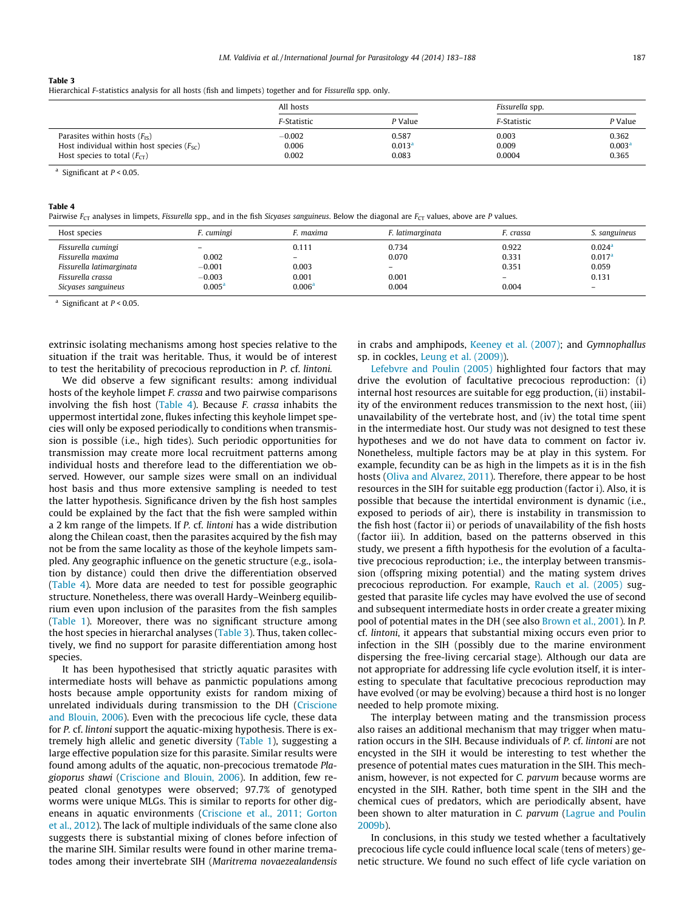#### <span id="page-4-0"></span>Table 3

Hierarchical F-statistics analysis for all hosts (fish and limpets) together and for Fissurella spp. only.

|                                                                                                                      | All hosts                  |                                      | Fissurella spp.          |                                      |
|----------------------------------------------------------------------------------------------------------------------|----------------------------|--------------------------------------|--------------------------|--------------------------------------|
|                                                                                                                      | F-Statistic                | P Value                              | F-Statistic              | P Value                              |
| Parasites within hosts $(F_{IS})$<br>Host individual within host species $(FSC)$<br>Host species to total $(F_{CT})$ | $-0.002$<br>0.006<br>0.002 | 0.587<br>0.013 <sup>a</sup><br>0.083 | 0.003<br>0.009<br>0.0004 | 0.362<br>0.003 <sup>a</sup><br>0.365 |

<sup>a</sup> Significant at  $P < 0.05$ 

Table 4

Pairwise  $F_{CT}$  analyses in limpets, Fissurella spp., and in the fish Sicyases sanguineus. Below the diagonal are  $F_{CT}$  values, above are P values.

| Host species             | cumingi            | '. maxima          | F. latimarginata | F. crassa | S. sanguineus      |
|--------------------------|--------------------|--------------------|------------------|-----------|--------------------|
| Fissurella cumingi       |                    | 0.111              | 0.734            | 0.922     | 0.024 <sup>a</sup> |
| Fissurella maxima        | 0.002              | -                  | 0.070            | 0.331     | 0.017 <sup>a</sup> |
| Fissurella latimarginata | $-0.001$           | 0.003              |                  | 0.351     | 0.059              |
| Fissurella crassa        | $-0.003$           | 0.001              | 0.001            |           | 0.131              |
| Sicyases sanguineus      | 0.005 <sup>a</sup> | 0.006 <sup>a</sup> | 0.004            | 0.004     | $\qquad \qquad$    |

<sup>a</sup> Significant at  $P < 0.05$ .

extrinsic isolating mechanisms among host species relative to the situation if the trait was heritable. Thus, it would be of interest to test the heritability of precocious reproduction in P. cf. lintoni.

We did observe a few significant results: among individual hosts of the keyhole limpet F. crassa and two pairwise comparisons involving the fish host (Table 4). Because F. crassa inhabits the uppermost intertidal zone, flukes infecting this keyhole limpet species will only be exposed periodically to conditions when transmission is possible (i.e., high tides). Such periodic opportunities for transmission may create more local recruitment patterns among individual hosts and therefore lead to the differentiation we observed. However, our sample sizes were small on an individual host basis and thus more extensive sampling is needed to test the latter hypothesis. Significance driven by the fish host samples could be explained by the fact that the fish were sampled within a 2 km range of the limpets. If P. cf. lintoni has a wide distribution along the Chilean coast, then the parasites acquired by the fish may not be from the same locality as those of the keyhole limpets sampled. Any geographic influence on the genetic structure (e.g., isolation by distance) could then drive the differentiation observed (Table 4). More data are needed to test for possible geographic structure. Nonetheless, there was overall Hardy–Weinberg equilibrium even upon inclusion of the parasites from the fish samples ([Table 1](#page-2-0)). Moreover, there was no significant structure among the host species in hierarchal analyses (Table 3). Thus, taken collectively, we find no support for parasite differentiation among host species.

It has been hypothesised that strictly aquatic parasites with intermediate hosts will behave as panmictic populations among hosts because ample opportunity exists for random mixing of unrelated individuals during transmission to the DH [\(Criscione](#page-5-0) [and Blouin, 2006](#page-5-0)). Even with the precocious life cycle, these data for P. cf. lintoni support the aquatic-mixing hypothesis. There is extremely high allelic and genetic diversity ([Table 1](#page-2-0)), suggesting a large effective population size for this parasite. Similar results were found among adults of the aquatic, non-precocious trematode Plagioporus shawi ([Criscione and Blouin, 2006\)](#page-5-0). In addition, few repeated clonal genotypes were observed; 97.7% of genotyped worms were unique MLGs. This is similar to reports for other digeneans in aquatic environments [\(Criscione et al., 2011; Gorton](#page-5-0) [et al., 2012\)](#page-5-0). The lack of multiple individuals of the same clone also suggests there is substantial mixing of clones before infection of the marine SIH. Similar results were found in other marine trematodes among their invertebrate SIH (Maritrema novaezealandensis in crabs and amphipods, [Keeney et al. \(2007\);](#page-5-0) and Gymnophallus sp. in cockles, [Leung et al. \(2009\)](#page-5-0)).

[Lefebvre and Poulin \(2005\)](#page-5-0) highlighted four factors that may drive the evolution of facultative precocious reproduction: (i) internal host resources are suitable for egg production, (ii) instability of the environment reduces transmission to the next host, (iii) unavailability of the vertebrate host, and (iv) the total time spent in the intermediate host. Our study was not designed to test these hypotheses and we do not have data to comment on factor iv. Nonetheless, multiple factors may be at play in this system. For example, fecundity can be as high in the limpets as it is in the fish hosts ([Oliva and Alvarez, 2011\)](#page-5-0). Therefore, there appear to be host resources in the SIH for suitable egg production (factor i). Also, it is possible that because the intertidal environment is dynamic (i.e., exposed to periods of air), there is instability in transmission to the fish host (factor ii) or periods of unavailability of the fish hosts (factor iii). In addition, based on the patterns observed in this study, we present a fifth hypothesis for the evolution of a facultative precocious reproduction; i.e., the interplay between transmission (offspring mixing potential) and the mating system drives precocious reproduction. For example, [Rauch et al. \(2005\)](#page-5-0) suggested that parasite life cycles may have evolved the use of second and subsequent intermediate hosts in order create a greater mixing pool of potential mates in the DH (see also [Brown et al., 2001\)](#page-5-0). In P. cf. lintoni, it appears that substantial mixing occurs even prior to infection in the SIH (possibly due to the marine environment dispersing the free-living cercarial stage). Although our data are not appropriate for addressing life cycle evolution itself, it is interesting to speculate that facultative precocious reproduction may have evolved (or may be evolving) because a third host is no longer needed to help promote mixing.

The interplay between mating and the transmission process also raises an additional mechanism that may trigger when maturation occurs in the SIH. Because individuals of P. cf. lintoni are not encysted in the SIH it would be interesting to test whether the presence of potential mates cues maturation in the SIH. This mechanism, however, is not expected for C. parvum because worms are encysted in the SIH. Rather, both time spent in the SIH and the chemical cues of predators, which are periodically absent, have been shown to alter maturation in C. parvum ([Lagrue and Poulin](#page-5-0) [2009b](#page-5-0)).

In conclusions, in this study we tested whether a facultatively precocious life cycle could influence local scale (tens of meters) genetic structure. We found no such effect of life cycle variation on